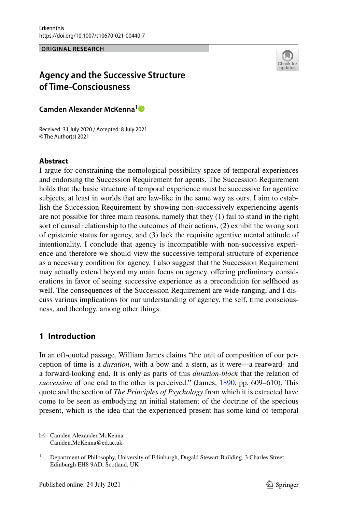**ORIGINAL RESEARCH**



# **Agency and the Successive Structure of Time‑Consciousness**

**Camden Alexander McKenna[1](http://orcid.org/0000-0001-9650-8244)**

Received: 31 July 2020 / Accepted: 8 July 2021 © The Author(s) 2021

# **Abstract**

I argue for constraining the nomological possibility space of temporal experiences and endorsing the Succession Requirement for agents. The Succession Requirement holds that the basic structure of temporal experience must be successive for agentive subjects, at least in worlds that are law-like in the same way as ours. I aim to establish the Succession Requirement by showing non-successively experiencing agents are not possible for three main reasons, namely that they (1) fail to stand in the right sort of causal relationship to the outcomes of their actions, (2) exhibit the wrong sort of epistemic status for agency, and (3) lack the requisite agentive mental attitude of intentionality. I conclude that agency is incompatible with non-successive experience and therefore we should view the successive temporal structure of experience as a necessary condition for agency. I also suggest that the Succession Requirement may actually extend beyond my main focus on agency, ofering preliminary considerations in favor of seeing successive experience as a precondition for selfhood as well. The consequences of the Succession Requirement are wide-ranging, and I discuss various implications for our understanding of agency, the self, time consciousness, and theology, among other things.

# **1 Introduction**

In an oft-quoted passage, William James claims "the unit of composition of our perception of time is a *duration*, with a bow and a stern, as it were—a rearward- and a forward-looking end. It is only as parts of this *duration-block* that the relation of *succession* of one end to the other is perceived." (James, [1890](#page-20-0), pp. 609–610). This quote and the section of *The Principles of Psychology* from which it is extracted have come to be seen as embodying an initial statement of the doctrine of the specious present, which is the idea that the experienced present has some kind of temporal

 $\boxtimes$  Camden Alexander McKenna Camden.McKenna@ed.ac.uk

<sup>&</sup>lt;sup>1</sup> Department of Philosophy, University of Edinburgh, Dugald Stewart Building, 3 Charles Street, Edinburgh EH8 9AD, Scotland, UK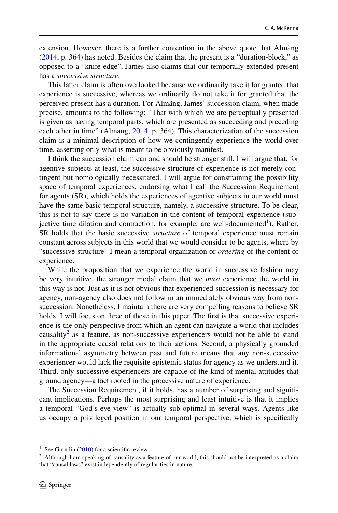extension. However, there is a further contention in the above quote that Almäng [\(2014](#page-19-0), p. 364) has noted. Besides the claim that the present is a "duration-block," as opposed to a "knife-edge", James also claims that our temporally extended present has a *successive structure*.

This latter claim is often overlooked because we ordinarily take it for granted that experience is successive, whereas we ordinarily do not take it for granted that the perceived present has a duration. For Almäng, James' succession claim, when made precise, amounts to the following: "That with which we are perceptually presented is given as having temporal parts, which are presented as succeeding and preceding each other in time" (Almäng, [2014](#page-19-0), p. 364). This characterization of the succession claim is a minimal description of how we contingently experience the world over time, asserting only what is meant to be obviously manifest.

I think the succession claim can and should be stronger still. I will argue that, for agentive subjects at least, the successive structure of experience is not merely contingent but nomologically necessitated. I will argue for constraining the possibility space of temporal experiences, endorsing what I call the Succession Requirement for agents (SR), which holds the experiences of agentive subjects in our world must have the same basic temporal structure, namely, a successive structure. To be clear, this is not to say there is no variation in the content of temporal experience (subjective time dilation and contraction, for example, are well-documented<sup>1</sup>). Rather, SR holds that the basic successive *structure* of temporal experience must remain constant across subjects in this world that we would consider to be agents, where by "successive structure" I mean a temporal organization or *ordering* of the content of experience.

While the proposition that we experience the world in successive fashion may be very intuitive, the stronger modal claim that we *must* experience the world in this way is not. Just as it is not obvious that experienced succession is necessary for agency, non-agency also does not follow in an immediately obvious way from nonsuccession. Nonetheless, I maintain there are very compelling reasons to believe SR holds. I will focus on three of these in this paper. The first is that successive experience is the only perspective from which an agent can navigate a world that includes causality<sup>[2](#page-1-1)</sup> as a feature, as non-successive experiencers would not be able to stand in the appropriate causal relations to their actions. Second, a physically grounded informational asymmetry between past and future means that any non-successive experiencer would lack the requisite epistemic status for agency as we understand it. Third, only successive experiencers are capable of the kind of mental attitudes that ground agency—a fact rooted in the processive nature of experience.

The Succession Requirement, if it holds, has a number of surprising and signifcant implications. Perhaps the most surprising and least intuitive is that it implies a temporal "God's-eye-view" is actually sub-optimal in several ways. Agents like us occupy a privileged position in our temporal perspective, which is specifcally

<span id="page-1-0"></span><sup>&</sup>lt;sup>1</sup> See Grondin ([2010\)](#page-20-1) for a scientific review.

<span id="page-1-1"></span> $2$  Although I am speaking of causality as a feature of our world, this should not be interpreted as a claim that "causal laws" exist independently of regularities in nature.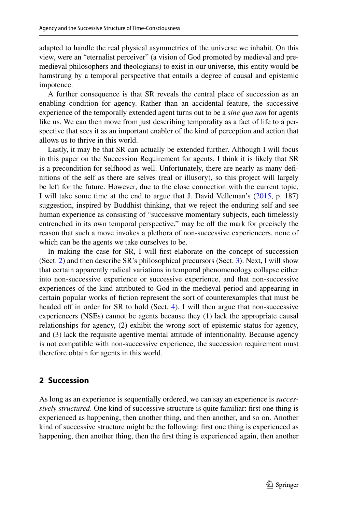adapted to handle the real physical asymmetries of the universe we inhabit. On this view, were an "eternalist perceiver" (a vision of God promoted by medieval and premedieval philosophers and theologians) to exist in our universe, this entity would be hamstrung by a temporal perspective that entails a degree of causal and epistemic impotence.

A further consequence is that SR reveals the central place of succession as an enabling condition for agency. Rather than an accidental feature, the successive experience of the temporally extended agent turns out to be a *sine qua non* for agents like us. We can then move from just describing temporality as a fact of life to a perspective that sees it as an important enabler of the kind of perception and action that allows us to thrive in this world.

Lastly, it may be that SR can actually be extended further. Although I will focus in this paper on the Succession Requirement for agents, I think it is likely that SR is a precondition for selfhood as well. Unfortunately, there are nearly as many defnitions of the self as there are selves (real or illusory), so this project will largely be left for the future. However, due to the close connection with the current topic, I will take some time at the end to argue that J. David Velleman's ([2015,](#page-21-0) p. 187) suggestion, inspired by Buddhist thinking, that we reject the enduring self and see human experience as consisting of "successive momentary subjects, each timelessly entrenched in its own temporal perspective," may be off the mark for precisely the reason that such a move invokes a plethora of non-successive experiencers, none of which can be the agents we take ourselves to be.

In making the case for SR, I will frst elaborate on the concept of succession (Sect. [2](#page-2-0)) and then describe SR's philosophical precursors (Sect. [3\)](#page-4-0). Next, I will show that certain apparently radical variations in temporal phenomenology collapse either into non-successive experience or successive experience, and that non-successive experiences of the kind attributed to God in the medieval period and appearing in certain popular works of fction represent the sort of counterexamples that must be headed off in order for SR to hold (Sect. [4\)](#page-6-0). I will then argue that non-successive experiencers (NSEs) cannot be agents because they (1) lack the appropriate causal relationships for agency, (2) exhibit the wrong sort of epistemic status for agency, and (3) lack the requisite agentive mental attitude of intentionality. Because agency is not compatible with non-successive experience, the succession requirement must therefore obtain for agents in this world.

# <span id="page-2-0"></span>**2 Succession**

As long as an experience is sequentially ordered, we can say an experience is *successively structured*. One kind of successive structure is quite familiar: first one thing is experienced as happening, then another thing, and then another, and so on. Another kind of successive structure might be the following: frst one thing is experienced as happening, then another thing, then the frst thing is experienced again, then another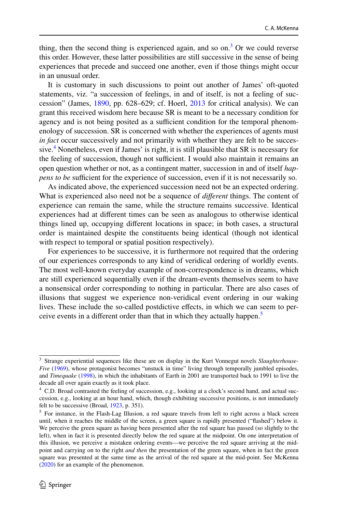thing, then the second thing is experienced again, and so on.<sup>3</sup> Or we could reverse this order. However, these latter possibilities are still successive in the sense of being experiences that precede and succeed one another, even if those things might occur in an unusual order.

It is customary in such discussions to point out another of James' oft-quoted statements, viz. "a succession of feelings, in and of itself, is not a feeling of succession" (James, [1890,](#page-20-0) pp. 628–629; cf. Hoerl, [2013](#page-20-2) for critical analysis). We can grant this received wisdom here because SR is meant to be a necessary condition for agency and is not being posited as a sufficient condition for the temporal phenomenology of succession. SR is concerned with whether the experiences of agents must *in fact* occur successively and not primarily with whether they are felt to be succes-sive.<sup>[4](#page-3-1)</sup> Nonetheless, even if James' is right, it is still plausible that SR is necessary for the feeling of succession, though not sufficient. I would also maintain it remains an open question whether or not, as a contingent matter, succession in and of itself *happens to be* sufficient for the experience of succession, even if it is not necessarily so.

As indicated above, the experienced succession need not be an expected ordering. What is experienced also need not be a sequence of *diferent* things. The content of experience can remain the same, while the structure remains successive. Identical experiences had at diferent times can be seen as analogous to otherwise identical things lined up, occupying diferent locations in space; in both cases, a structural order is maintained despite the constituents being identical (though not identical with respect to temporal or spatial position respectively).

For experiences to be successive, it is furthermore not required that the ordering of our experiences corresponds to any kind of veridical ordering of worldly events. The most well-known everyday example of non-correspondence is in dreams, which are still experienced sequentially even if the dream-events themselves seem to have a nonsensical order corresponding to nothing in particular. There are also cases of illusions that suggest we experience non-veridical event ordering in our waking lives. These include the so-called postdictive efects, in which we can seem to per-ceive events in a different order than that in which they actually happen.<sup>[5](#page-3-2)</sup>

<span id="page-3-0"></span><sup>3</sup> Strange experiential sequences like these are on display in the Kurt Vonnegut novels *Slaughterhouse-Five* ([1969\)](#page-21-1), whose protagonist becomes "unstuck in time" living through temporally jumbled episodes, and *Timequake* ([1998\)](#page-21-2), in which the inhabitants of Earth in 2001 are transported back to 1991 to live the decade all over again exactly as it took place.

<span id="page-3-1"></span><sup>4</sup> C.D. Broad contrasted the feeling of succession, e.g., looking at a clock's second hand, and actual succession, e.g., looking at an hour hand, which, though exhibiting successive positions, is not immediately felt to be successive (Broad, [1923,](#page-20-3) p. 351).

<span id="page-3-2"></span> $<sup>5</sup>$  For instance, in the Flash-Lag Illusion, a red square travels from left to right across a black screen</sup> until, when it reaches the middle of the screen, a green square is rapidly presented ("fashed") below it. We perceive the green square as having been presented after the red square has passed (so slightly to the left), when in fact it is presented directly below the red square at the midpoint. On one interpretation of this illusion, we perceive a mistaken ordering events—we perceive the red square arriving at the midpoint and carrying on to the right *and then* the presentation of the green square, when in fact the green square was presented at the same time as the arrival of the red square at the mid-point. See McKenna ([2020\)](#page-20-4) for an example of the phenomenon.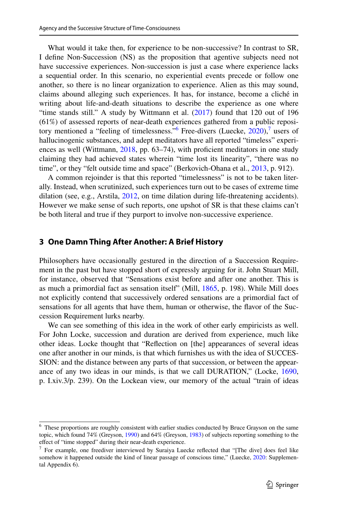What would it take then, for experience to be non-successive? In contrast to SR, I defne Non-Succession (NS) as the proposition that agentive subjects need not have successive experiences. Non-succession is just a case where experience lacks a sequential order. In this scenario, no experiential events precede or follow one another, so there is no linear organization to experience. Alien as this may sound, claims abound alleging such experiences. It has, for instance, become a cliché in writing about life-and-death situations to describe the experience as one where "time stands still." A study by Wittmann et al. ([2017\)](#page-21-3) found that 120 out of 196 (61%) of assessed reports of near-death experiences gathered from a public repository mentioned a "feeling of timelessness." Free-divers (Luecke,  $2020$ ), users of hallucinogenic substances, and adept meditators have all reported "timeless" experi-ences as well (Wittmann, [2018](#page-21-4), pp. 63–74), with proficient meditators in one study claiming they had achieved states wherein "time lost its linearity", "there was no time", or they "felt outside time and space" (Berkovich-Ohana et al., [2013,](#page-20-6) p. 912).

A common rejoinder is that this reported "timelessness" is not to be taken literally. Instead, when scrutinized, such experiences turn out to be cases of extreme time dilation (see, e.g., Arstila, [2012,](#page-19-1) on time dilation during life-threatening accidents). However we make sense of such reports, one upshot of SR is that these claims can't be both literal and true if they purport to involve non-successive experience.

#### <span id="page-4-0"></span>**3 One Damn Thing After Another: A Brief History**

Philosophers have occasionally gestured in the direction of a Succession Requirement in the past but have stopped short of expressly arguing for it. John Stuart Mill, for instance, observed that "Sensations exist before and after one another. This is as much a primordial fact as sensation itself" (Mill, [1865,](#page-20-7) p. 198). While Mill does not explicitly contend that successively ordered sensations are a primordial fact of sensations for all agents that have them, human or otherwise, the favor of the Succession Requirement lurks nearby.

We can see something of this idea in the work of other early empiricists as well. For John Locke, succession and duration are derived from experience, much like other ideas. Locke thought that "Refection on [the] appearances of several ideas one after another in our minds, is that which furnishes us with the idea of SUCCES-SION: and the distance between any parts of that succession, or between the appearance of any two ideas in our minds, is that we call DURATION," (Locke, [1690,](#page-20-8) p. I.xiv.3/p. 239). On the Lockean view, our memory of the actual "train of ideas

<span id="page-4-1"></span><sup>&</sup>lt;sup>6</sup> These proportions are roughly consistent with earlier studies conducted by Bruce Grayson on the same topic, which found 74% (Greyson, [1990](#page-20-9)) and 64% (Greyson, [1983](#page-20-10)) of subjects reporting something to the efect of "time stopped" during their near-death experience.

<span id="page-4-2"></span> $7$  For example, one freediver interviewed by Suraiya Luecke reflected that "[The dive] does feel like somehow it happened outside the kind of linear passage of conscious time," (Luecke, [2020](#page-20-5): Supplemental Appendix 6).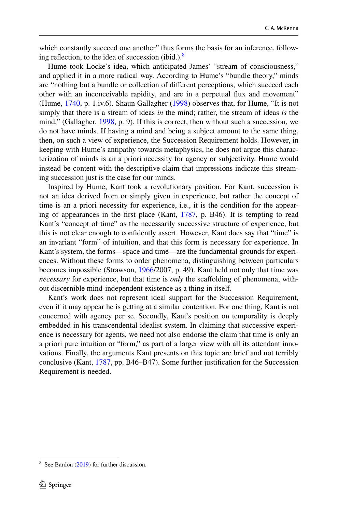which constantly succeed one another" thus forms the basis for an inference, following reflection, to the idea of succession (ibid.). $8$ 

Hume took Locke's idea, which anticipated James' "stream of consciousness," and applied it in a more radical way. According to Hume's "bundle theory," minds are "nothing but a bundle or collection of diferent perceptions, which succeed each other with an inconceivable rapidity, and are in a perpetual fux and movement" (Hume, [1740](#page-20-11), p. 1.iv.6). Shaun Gallagher [\(1998](#page-20-12)) observes that, for Hume, "It is not simply that there is a stream of ideas *in* the mind; rather, the stream of ideas *is* the mind," (Gallagher, [1998,](#page-20-12) p. 9). If this is correct, then without such a succession, we do not have minds. If having a mind and being a subject amount to the same thing, then, on such a view of experience, the Succession Requirement holds. However, in keeping with Hume's antipathy towards metaphysics, he does not argue this characterization of minds is an a priori necessity for agency or subjectivity. Hume would instead be content with the descriptive claim that impressions indicate this streaming succession just is the case for our minds.

Inspired by Hume, Kant took a revolutionary position. For Kant, succession is not an idea derived from or simply given in experience, but rather the concept of time is an a priori necessity for experience, i.e., it is the condition for the appearing of appearances in the frst place (Kant, [1787,](#page-20-13) p. B46). It is tempting to read Kant's "concept of time" as the necessarily successive structure of experience, but this is not clear enough to confdently assert. However, Kant does say that "time" is an invariant "form" of intuition, and that this form is necessary for experience. In Kant's system, the forms—space and time—are the fundamental grounds for experiences. Without these forms to order phenomena, distinguishing between particulars becomes impossible (Strawson, [1966/](#page-21-5)2007, p. 49). Kant held not only that time was *necessary* for experience, but that time is *only* the scafolding of phenomena, without discernible mind-independent existence as a thing in itself.

Kant's work does not represent ideal support for the Succession Requirement, even if it may appear he is getting at a similar contention. For one thing, Kant is not concerned with agency per se. Secondly, Kant's position on temporality is deeply embedded in his transcendental idealist system. In claiming that successive experience is necessary for agents, we need not also endorse the claim that time is only an a priori pure intuition or "form," as part of a larger view with all its attendant innovations. Finally, the arguments Kant presents on this topic are brief and not terribly conclusive (Kant, [1787,](#page-20-13) pp. B46–B47). Some further justifcation for the Succession Requirement is needed.

<span id="page-5-0"></span> $8$  See Bardon ([2019\)](#page-20-14) for further discussion.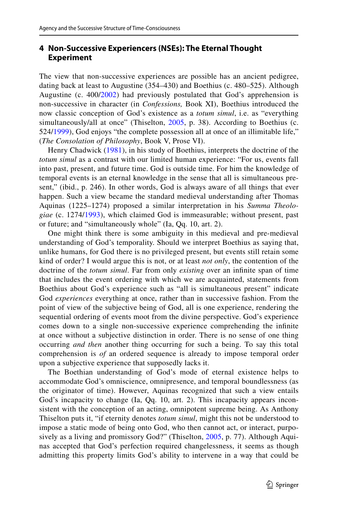## <span id="page-6-0"></span>**4 Non‑Successive Experiencers (NSEs): The Eternal Thought Experiment**

The view that non-successive experiences are possible has an ancient pedigree, dating back at least to Augustine (354–430) and Boethius (c. 480–525). Although Augustine (c. 400/[2002\)](#page-19-2) had previously postulated that God's apprehension is non-successive in character (in *Confessions,* Book XI), Boethius introduced the now classic conception of God's existence as a *totum simul*, i.e. as "everything simultaneously/all at once" (Thiselton, [2005,](#page-21-6) p. 38). According to Boethius (c. 524[/1999\)](#page-20-15), God enjoys "the complete possession all at once of an illimitable life," (*The Consolation of Philosophy*, Book V, Prose VI).

Henry Chadwick [\(1981\)](#page-20-16), in his study of Boethius, interprets the doctrine of the *totum simul* as a contrast with our limited human experience: "For us, events fall into past, present, and future time. God is outside time. For him the knowledge of temporal events is an eternal knowledge in the sense that all is simultaneous present," (ibid., p. 246). In other words, God is always aware of all things that ever happen. Such a view became the standard medieval understanding after Thomas Aquinas (1225–1274) proposed a similar interpretation in his *Summa Theologiae* (c. 1274/[1993\)](#page-19-3), which claimed God is immeasurable; without present, past or future; and "simultaneously whole" (Ia, Qq. 10, art. 2).

One might think there is some ambiguity in this medieval and pre-medieval understanding of God's temporality. Should we interpret Boethius as saying that, unlike humans, for God there is no privileged present, but events still retain some kind of order? I would argue this is not, or at least *not only*, the contention of the doctrine of the *totum simul*. Far from only *existing* over an infnite span of time that includes the event ordering with which we are acquainted, statements from Boethius about God's experience such as "all is simultaneous present" indicate God *experiences* everything at once, rather than in successive fashion. From the point of view of the subjective being of God, all is one experience, rendering the sequential ordering of events moot from the divine perspective. God's experience comes down to a single non-successive experience comprehending the infnite at once without a subjective distinction in order. There is no sense of one thing occurring *and then* another thing occurring for such a being. To say this total comprehension is *of* an ordered sequence is already to impose temporal order upon a subjective experience that supposedly lacks it.

The Boethian understanding of God's mode of eternal existence helps to accommodate God's omniscience, omnipresence, and temporal boundlessness (as the originator of time). However, Aquinas recognized that such a view entails God's incapacity to change (Ia, Qq. 10, art. 2). This incapacity appears inconsistent with the conception of an acting, omnipotent supreme being. As Anthony Thiselton puts it, "if eternity denotes *totum simul*, might this not be understood to impose a static mode of being onto God, who then cannot act, or interact, purposively as a living and promissory God?" (Thiselton, [2005](#page-21-6), p. 77). Although Aquinas accepted that God's perfection required changelessness, it seems as though admitting this property limits God's ability to intervene in a way that could be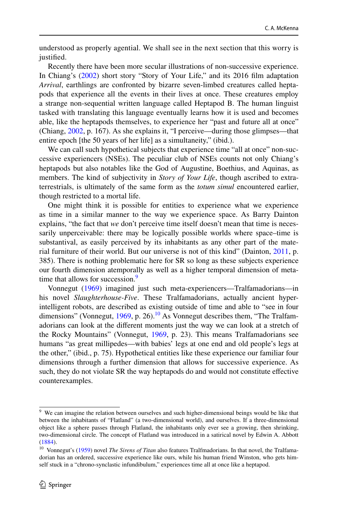understood as properly agential. We shall see in the next section that this worry is justified.

Recently there have been more secular illustrations of non-successive experience. In Chiang's ([2002\)](#page-20-17) short story "Story of Your Life," and its 2016 flm adaptation *Arrival*, earthlings are confronted by bizarre seven-limbed creatures called heptapods that experience all the events in their lives at once. These creatures employ a strange non-sequential written language called Heptapod B. The human linguist tasked with translating this language eventually learns how it is used and becomes able, like the heptapods themselves, to experience her "past and future all at once" (Chiang, [2002](#page-20-17), p. 167). As she explains it, "I perceive—during those glimpses—that entire epoch [the 50 years of her life] as a simultaneity," (ibid.).

We can call such hypothetical subjects that experience time "all at once" non-successive experiencers (NSEs). The peculiar club of NSEs counts not only Chiang's heptapods but also notables like the God of Augustine, Boethius, and Aquinas, as members. The kind of subjectivity in *Story of Your Life*, though ascribed to extraterrestrials, is ultimately of the same form as the *totum simul* encountered earlier, though restricted to a mortal life.

One might think it is possible for entities to experience what we experience as time in a similar manner to the way we experience space. As Barry Dainton explains, "the fact that *we* don't perceive time itself doesn't mean that time is necessarily unperceivable: there may be logically possible worlds where space–time is substantival, as easily perceived by its inhabitants as any other part of the material furniture of their world. But our universe is not of this kind" (Dainton, [2011,](#page-20-18) p. 385). There is nothing problematic here for SR so long as these subjects experience our fourth dimension atemporally as well as a higher temporal dimension of metatime that allows for succession.<sup>9</sup>

Vonnegut [\(1969](#page-21-1)) imagined just such meta-experiencers—Tralfamadorians—in his novel *Slaughterhouse-Five*. These Tralfamadorians, actually ancient hyperintelligent robots, are described as existing outside of time and able to "see in four dimensions" (Vonnegut,  $1969$ , p. 26).<sup>10</sup> As Vonnegut describes them, "The Tralfamadorians can look at the diferent moments just the way we can look at a stretch of the Rocky Mountains" (Vonnegut, [1969,](#page-21-1) p. 23). This means Tralfamadorians see humans "as great millipedes—with babies' legs at one end and old people's legs at the other," (ibid., p. 75). Hypothetical entities like these experience our familiar four dimensions through a further dimension that allows for successive experience. As such, they do not violate SR the way heptapods do and would not constitute efective counterexamples.

<span id="page-7-0"></span><sup>&</sup>lt;sup>9</sup> We can imagine the relation between ourselves and such higher-dimensional beings would be like that between the inhabitants of "Flatland" (a two-dimensional world), and ourselves. If a three-dimensional object like a sphere passes through Flatland, the inhabitants only ever see a growing, then shrinking, two-dimensional circle. The concept of Flatland was introduced in a satirical novel by Edwin A. Abbott ([1884\)](#page-19-4).

<span id="page-7-1"></span><sup>10</sup> Vonnegut's [\(1959](#page-21-7)) novel *The Sirens of Titan* also features Tralfmadorians. In that novel, the Tralfamadorian has an ordered, successive experience like ours, while his human friend Winston, who gets himself stuck in a "chrono-synclastic infundibulum," experiences time all at once like a heptapod.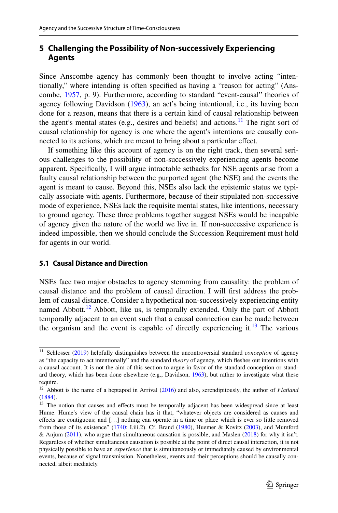# **5 Challenging the Possibility of Non‑successively Experiencing Agents**

Since Anscombe agency has commonly been thought to involve acting "intentionally," where intending is often specifed as having a "reason for acting" (Anscombe, [1957,](#page-19-5) p. 9). Furthermore, according to standard "event-causal" theories of agency following Davidson [\(1963](#page-20-19)), an act's being intentional, i.e., its having been done for a reason, means that there is a certain kind of causal relationship between the agent's mental states (e.g., desires and beliefs) and actions.<sup>[11](#page-8-0)</sup> The right sort of causal relationship for agency is one where the agent's intentions are causally connected to its actions, which are meant to bring about a particular efect.

If something like this account of agency is on the right track, then several serious challenges to the possibility of non-successively experiencing agents become apparent. Specifcally, I will argue intractable setbacks for NSE agents arise from a faulty causal relationship between the purported agent (the NSE) and the events the agent is meant to cause. Beyond this, NSEs also lack the epistemic status we typically associate with agents. Furthermore, because of their stipulated non-successive mode of experience, NSEs lack the requisite mental states, like intentions, necessary to ground agency. These three problems together suggest NSEs would be incapable of agency given the nature of the world we live in. If non-successive experience is indeed impossible, then we should conclude the Succession Requirement must hold for agents in our world.

#### **5.1 Causal Distance and Direction**

NSEs face two major obstacles to agency stemming from causality: the problem of causal distance and the problem of causal direction. I will frst address the problem of causal distance. Consider a hypothetical non-successively experiencing entity named Abbott.<sup>12</sup> Abbott, like us, is temporally extended. Only the part of Abbott temporally adjacent to an event such that a causal connection can be made between the organism and the event is capable of directly experiencing it.<sup>13</sup> The various

<span id="page-8-0"></span><sup>&</sup>lt;sup>11</sup> Schlosser ([2019\)](#page-21-8) helpfully distinguishes between the uncontroversial standard *conception* of agency as "the capacity to act intentionally" and the standard *theory* of agency, which feshes out intentions with a causal account. It is not the aim of this section to argue in favor of the standard conception or standard theory, which has been done elsewhere (e.g., Davidson, [1963\)](#page-20-19), but rather to investigate what these require.

<span id="page-8-1"></span><sup>12</sup> Abbott is the name of a heptapod in Arrival [\(2016](#page-19-6)) and also, serendipitously, the author of *Flatland* ([1884\)](#page-19-4).

<span id="page-8-2"></span><sup>&</sup>lt;sup>13</sup> The notion that causes and effects must be temporally adjacent has been widespread since at least Hume. Hume's view of the causal chain has it that, "whatever objects are considered as causes and efects are contiguous; and […] nothing can operate in a time or place which is ever so little removed from those of its existence" ([1740:](#page-20-11) I.iii.2). Cf. Brand ([1980\)](#page-20-20), Huemer & Kovitz [\(2003](#page-20-21)), and Mumford & Anjum ([2011\)](#page-20-22), who argue that simultaneous causation is possible, and Maslen ([2018\)](#page-20-23) for why it isn't. Regardless of whether simultaneous causation is possible at the point of direct causal interaction, it is not physically possible to have an *experience* that is simultaneously or immediately caused by environmental events, because of signal transmission. Nonetheless, events and their perceptions should be causally connected, albeit mediately.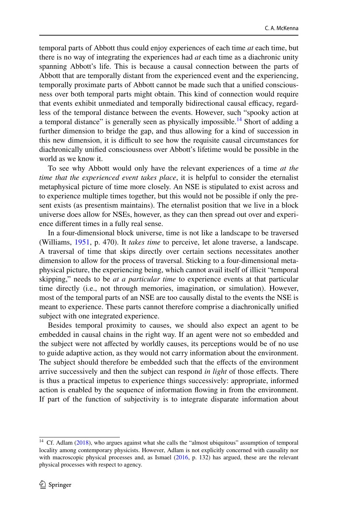temporal parts of Abbott thus could enjoy experiences of each time *at* each time, but there is no way of integrating the experiences had *at* each time as a diachronic unity spanning Abbott's life. This is because a causal connection between the parts of Abbott that are temporally distant from the experienced event and the experiencing, temporally proximate parts of Abbott cannot be made such that a unifed consciousness over both temporal parts might obtain. This kind of connection would require that events exhibit unmediated and temporally bidirectional causal efficacy, regardless of the temporal distance between the events. However, such "spooky action at a temporal distance" is generally seen as physically impossible.<sup>14</sup> Short of adding a further dimension to bridge the gap, and thus allowing for a kind of succession in this new dimension, it is difcult to see how the requisite causal circumstances for diachronically unifed consciousness over Abbott's lifetime would be possible in the world as we know it.

To see why Abbott would only have the relevant experiences of a time *at the time that the experienced event takes place*, it is helpful to consider the eternalist metaphysical picture of time more closely. An NSE is stipulated to exist across and to experience multiple times together, but this would not be possible if only the present exists (as presentism maintains). The eternalist position that we live in a block universe does allow for NSEs, however, as they can then spread out over and experience diferent times in a fully real sense.

In a four-dimensional block universe, time is not like a landscape to be traversed (Williams, [1951,](#page-21-9) p. 470). It *takes time* to perceive, let alone traverse, a landscape. A traversal of time that skips directly over certain sections necessitates another dimension to allow for the process of traversal. Sticking to a four-dimensional metaphysical picture, the experiencing being, which cannot avail itself of illicit "temporal skipping," needs to be *at a particular time* to experience events at that particular time directly (i.e., not through memories, imagination, or simulation). However, most of the temporal parts of an NSE are too causally distal to the events the NSE is meant to experience. These parts cannot therefore comprise a diachronically unifed subject with one integrated experience.

Besides temporal proximity to causes, we should also expect an agent to be embedded in causal chains in the right way. If an agent were not so embedded and the subject were not affected by worldly causes, its perceptions would be of no use to guide adaptive action, as they would not carry information about the environment. The subject should therefore be embedded such that the efects of the environment arrive successively and then the subject can respond *in light* of those efects. There is thus a practical impetus to experience things successively: appropriate, informed action is enabled by the sequence of information fowing in from the environment. If part of the function of subjectivity is to integrate disparate information about

<span id="page-9-0"></span><sup>&</sup>lt;sup>14</sup> Cf. Adlam [\(2018](#page-19-7)), who argues against what she calls the "almost ubiquitous" assumption of temporal locality among contemporary physicists. However, Adlam is not explicitly concerned with causality nor with macroscopic physical processes and, as Ismael ([2016,](#page-20-24) p. 132) has argued, these are the relevant physical processes with respect to agency.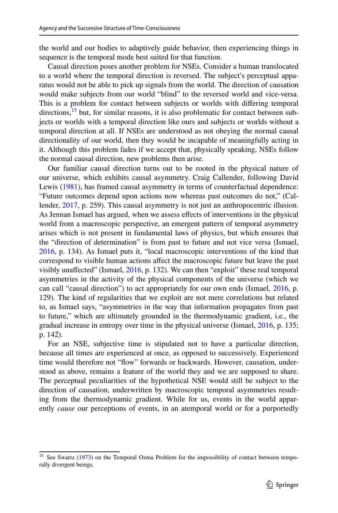the world and our bodies to adaptively guide behavior, then experiencing things in sequence is the temporal mode best suited for that function.

Causal direction poses another problem for NSEs. Consider a human translocated to a world where the temporal direction is reversed. The subject's perceptual apparatus would not be able to pick up signals from the world. The direction of causation would make subjects from our world "blind" to the reversed world and vice-versa. This is a problem for contact between subjects or worlds with difering temporal directions,  $15$  but, for similar reasons, it is also problematic for contact between subjects or worlds with a temporal direction like ours and subjects or worlds without a temporal direction at all. If NSEs are understood as not obeying the normal causal directionality of our world, then they would be incapable of meaningfully acting in it. Although this problem fades if we accept that, physically speaking, NSEs follow the normal causal direction, new problems then arise.

Our familiar causal direction turns out to be rooted in the physical nature of our universe, which exhibits causal asymmetry. Craig Callender, following David Lewis [\(1981](#page-20-25)), has framed causal asymmetry in terms of counterfactual dependence: "Future outcomes depend upon actions now whereas past outcomes do not," (Callender, [2017](#page-20-26), p. 259). This causal asymmetry is not just an anthropocentric illusion. As Jennan Ismael has argued, when we assess efects of interventions in the physical world from a macroscopic perspective, an emergent pattern of temporal asymmetry arises which is not present in fundamental laws of physics, but which ensures that the "direction of determination" is from past to future and not vice versa (Ismael, [2016](#page-20-24), p. 134). As Ismael puts it, "local macroscopic interventions of the kind that correspond to visible human actions afect the macroscopic future but leave the past visibly unafected" (Ismael, [2016,](#page-20-24) p. 132). We can then "exploit" these real temporal asymmetries in the activity of the physical components of the universe (which we can call "causal direction") to act appropriately for our own ends (Ismael, [2016](#page-20-24), p. 129). The kind of regularities that we exploit are not mere correlations but related to, as Ismael says, "asymmetries in the way that information propagates from past to future," which are ultimately grounded in the thermodynamic gradient, i.e., the gradual increase in entropy over time in the physical universe (Ismael, [2016](#page-20-24), p. 135; p. 142).

For an NSE, subjective time is stipulated not to have a particular direction, because all times are experienced at once, as opposed to successively. Experienced time would therefore not "flow" forwards or backwards. However, causation, understood as above, remains a feature of the world they and we are supposed to share. The perceptual peculiarities of the hypothetical NSE would still be subject to the direction of causation, underwritten by macroscopic temporal asymmetries resulting from the thermodynamic gradient. While for us, events in the world apparently *cause* our perceptions of events, in an atemporal world or for a purportedly

<span id="page-10-0"></span><sup>&</sup>lt;sup>15</sup> See Swartz [\(1973](#page-21-10)) on the Temporal Ozma Problem for the impossibility of contact between temporally divergent beings.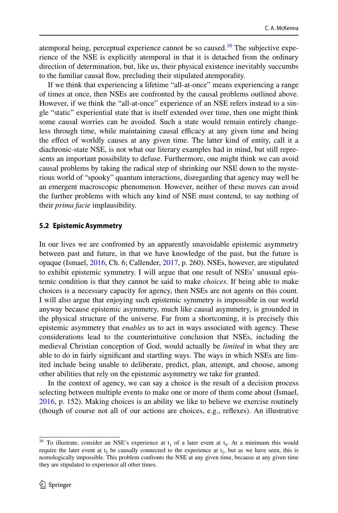atemporal being, perceptual experience cannot be so caused.<sup>16</sup> The subjective experience of the NSE is explicitly atemporal in that it is detached from the ordinary direction of determination, but, like us, their physical existence inevitably succumbs to the familiar causal fow, precluding their stipulated atemporality.

If we think that experiencing a lifetime "all-at-once" means experiencing a range of times at once, then NSEs are confronted by the causal problems outlined above. However, if we think the "all-at-once" experience of an NSE refers instead to a single "static" experiential state that is itself extended over time, then one might think some causal worries can be avoided. Such a state would remain entirely changeless through time, while maintaining causal efficacy at any given time and being the efect of worldly causes at any given time. The latter kind of entity, call it a diachronic-state NSE, is not what our literary examples had in mind, but still represents an important possibility to defuse. Furthermore, one might think we can avoid causal problems by taking the radical step of shrinking our NSE down to the mysterious world of "spooky" quantum interactions, disregarding that agency may well be an emergent macroscopic phenomenon. However, neither of these moves can avoid the further problems with which any kind of NSE must contend, to say nothing of their *prima facie* implausibility.

#### **5.2 Epistemic Asymmetry**

In our lives we are confronted by an apparently unavoidable epistemic asymmetry between past and future, in that we have knowledge of the past, but the future is opaque (Ismael, [2016,](#page-20-24) Ch. 6; Callender, [2017,](#page-20-26) p. 260). NSEs, however, are stipulated to exhibit epistemic symmetry. I will argue that one result of NSEs' unusual epistemic condition is that they cannot be said to make *choices*. If being able to make choices is a necessary capacity for agency, then NSEs are not agents on this count. I will also argue that enjoying such epistemic symmetry is impossible in our world anyway because epistemic asymmetry, much like causal asymmetry, is grounded in the physical structure of the universe. Far from a shortcoming, it is precisely this epistemic asymmetry that *enables* us to act in ways associated with agency. These considerations lead to the counterintuitive conclusion that NSEs, including the medieval Christian conception of God, would actually be *limited* in what they are able to do in fairly signifcant and startling ways. The ways in which NSEs are limited include being unable to deliberate, predict, plan, attempt, and choose, among other abilities that rely on the epistemic asymmetry we take for granted.

In the context of agency, we can say a choice is the result of a decision process selecting between multiple events to make one or more of them come about (Ismael, [2016](#page-20-24), p. 152). Making choices is an ability we like to believe we exercise routinely (though of course not all of our actions are choices, e.g., refexes). An illustrative

<span id="page-11-0"></span><sup>&</sup>lt;sup>16</sup> To illustrate, consider an NSE's experience at  $t_1$  of a later event at  $t_5$ . At a minimum this would require the later event at  $t_5$  be causally connected to the experience at  $t_1$ , but as we have seen, this is nomologically impossible. This problem confronts the NSE at any given time, because at any given time they are stipulated to experience all other times.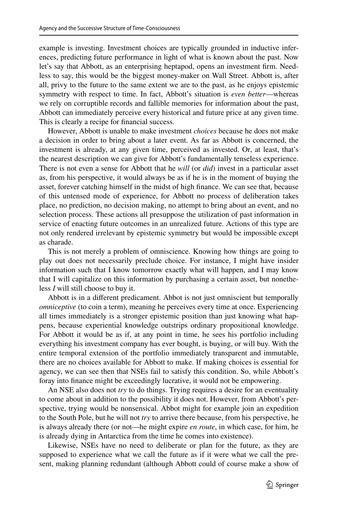example is investing. Investment choices are typically grounded in inductive inferences, predicting future performance in light of what is known about the past. Now let's say that Abbott, as an enterprising heptapod, opens an investment frm. Needless to say, this would be the biggest money-maker on Wall Street. Abbott is, after all, privy to the future to the same extent we are to the past, as he enjoys epistemic symmetry with respect to time. In fact, Abbott's situation is *even better*—whereas we rely on corruptible records and fallible memories for information about the past, Abbott can immediately perceive every historical and future price at any given time. This is clearly a recipe for fnancial success.

However, Abbott is unable to make investment *choices* because he does not make a decision in order to bring about a later event. As far as Abbott is concerned, the investment is already, at any given time, perceived as invested. Or, at least, that's the nearest description we can give for Abbott's fundamentally tenseless experience. There is not even a sense for Abbott that he *will* (or *did*) invest in a particular asset as, from his perspective, it would always be as if he is in the moment of buying the asset, forever catching himself in the midst of high fnance. We can see that, because of this untensed mode of experience, for Abbott no process of deliberation takes place, no prediction, no decision making, no attempt to bring about an event, and no selection process. These actions all presuppose the utilization of past information in service of enacting future outcomes in an unrealized future. Actions of this type are not only rendered irrelevant by epistemic symmetry but would be impossible except as charade.

This is not merely a problem of omniscience. Knowing how things are going to play out does not necessarily preclude choice. For instance, I might have insider information such that I know tomorrow exactly what will happen, and I may know that I will capitalize on this information by purchasing a certain asset, but nonetheless *I* will still choose to buy it.

Abbott is in a diferent predicament. Abbot is not just omniscient but temporally *omniceptive* (to coin a term), meaning he perceives every time at once. Experiencing all times immediately is a stronger epistemic position than just knowing what happens, because experiential knowledge outstrips ordinary propositional knowledge. For Abbott it would be as if, at any point in time, he sees his portfolio including everything his investment company has ever bought, is buying, or will buy. With the entire temporal extension of the portfolio immediately transparent and immutable, there are no choices available for Abbott to make. If making choices is essential for agency, we can see then that NSEs fail to satisfy this condition. So, while Abbott's foray into fnance might be exceedingly lucrative, it would not be empowering.

An NSE also does not *try* to do things. Trying requires a desire for an eventuality to come about in addition to the possibility it does not. However, from Abbott's perspective, trying would be nonsensical. Abbot might for example join an expedition to the South Pole, but he will not *try* to arrive there because, from his perspective, he is always already there (or not—he might expire *en route*, in which case, for him, he is already dying in Antarctica from the time he comes into existence).

Likewise, NSEs have no need to deliberate or plan for the future, as they are supposed to experience what we call the future as if it were what we call the present, making planning redundant (although Abbott could of course make a show of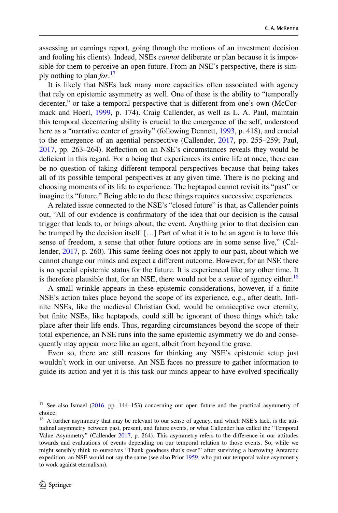assessing an earnings report, going through the motions of an investment decision and fooling his clients). Indeed, NSEs *cannot* deliberate or plan because it is impossible for them to perceive an open future. From an NSE's perspective, there is simply nothing to plan *for*. [17](#page-13-0)

It is likely that NSEs lack many more capacities often associated with agency that rely on epistemic asymmetry as well. One of these is the ability to "temporally decenter," or take a temporal perspective that is diferent from one's own (McCormack and Hoerl, [1999,](#page-20-27) p. 174). Craig Callender, as well as L. A. Paul, maintain this temporal decentering ability is crucial to the emergence of the self, understood here as a "narrative center of gravity" (following Dennett, [1993](#page-20-28), p. 418), and crucial to the emergence of an agential perspective (Callender, [2017,](#page-20-26) pp. 255–259; Paul, [2017](#page-21-11), pp. 263–264). Refection on an NSE's circumstances reveals they would be deficient in this regard. For a being that experiences its entire life at once, there can be no question of taking diferent temporal perspectives because that being takes all of its possible temporal perspectives at any given time. There is no picking and choosing moments of its life to experience. The heptapod cannot revisit its "past" or imagine its "future." Being able to do these things requires successive experiences.

A related issue connected to the NSE's "closed future" is that, as Callender points out, "All of our evidence is confrmatory of the idea that our decision is the causal trigger that leads to, or brings about, the event. Anything prior to that decision can be trumped by the decision itself. […] Part of what it is to be an agent is to have this sense of freedom, a sense that other future options are in some sense live," (Callender, [2017](#page-20-26), p. 260). This same feeling does not apply to our past, about which we cannot change our minds and expect a diferent outcome. However, for an NSE there is no special epistemic status for the future. It is experienced like any other time. It is therefore plausible that, for an NSE, there would not be a *sense* of agency either.<sup>[18](#page-13-1)</sup>

A small wrinkle appears in these epistemic considerations, however, if a fnite NSE's action takes place beyond the scope of its experience, e.g., after death. Infnite NSEs, like the medieval Christian God, would be omniceptive over eternity, but fnite NSEs, like heptapods, could still be ignorant of those things which take place after their life ends. Thus, regarding circumstances beyond the scope of their total experience, an NSE runs into the same epistemic asymmetry we do and consequently may appear more like an agent, albeit from beyond the grave.

Even so, there are still reasons for thinking any NSE's epistemic setup just wouldn't work in our universe. An NSE faces no pressure to gather information to guide its action and yet it is this task our minds appear to have evolved specifcally

<span id="page-13-0"></span><sup>&</sup>lt;sup>17</sup> See also Ismael [\(2016](#page-20-24), pp. 144–153) concerning our open future and the practical asymmetry of choice.

<span id="page-13-1"></span><sup>&</sup>lt;sup>18</sup> A further asymmetry that may be relevant to our sense of agency, and which NSE's lack, is the attitudinal asymmetry between past, present, and future events, or what Callender has called the "Temporal Value Asymmetry" (Callender [2017,](#page-20-26) p. 264). This asymmetry refers to the diference in our attitudes towards and evaluations of events depending on our temporal relation to those events. So, while we might sensibly think to ourselves "Thank goodness that's over!" after surviving a harrowing Antarctic expedition, an NSE would not say the same (see also Prior [1959,](#page-21-12) who put our temporal value asymmetry to work against eternalism).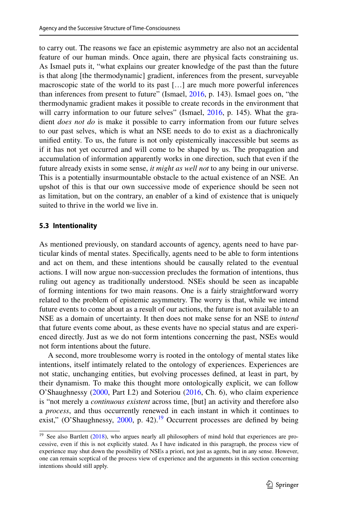to carry out. The reasons we face an epistemic asymmetry are also not an accidental feature of our human minds. Once again, there are physical facts constraining us. As Ismael puts it, "what explains our greater knowledge of the past than the future is that along [the thermodynamic] gradient, inferences from the present, surveyable macroscopic state of the world to its past […] are much more powerful inferences than inferences from present to future" (Ismael, [2016](#page-20-24), p. 143). Ismael goes on, "the thermodynamic gradient makes it possible to create records in the environment that will carry information to our future selves" (Ismael, [2016](#page-20-24), p. 145). What the gradient *does not do* is make it possible to carry information from our future selves to our past selves, which is what an NSE needs to do to exist as a diachronically unifed entity. To us, the future is not only epistemically inaccessible but seems as if it has not yet occurred and will come to be shaped by us. The propagation and accumulation of information apparently works in one direction, such that even if the future already exists in some sense, *it might as well not* to any being in our universe. This is a potentially insurmountable obstacle to the actual existence of an NSE. An upshot of this is that our own successive mode of experience should be seen not as limitation, but on the contrary, an enabler of a kind of existence that is uniquely suited to thrive in the world we live in.

#### **5.3 Intentionality**

As mentioned previously, on standard accounts of agency, agents need to have particular kinds of mental states. Specifcally, agents need to be able to form intentions and act on them, and these intentions should be causally related to the eventual actions. I will now argue non-succession precludes the formation of intentions, thus ruling out agency as traditionally understood. NSEs should be seen as incapable of forming intentions for two main reasons. One is a fairly straightforward worry related to the problem of epistemic asymmetry. The worry is that, while we intend future events to come about as a result of our actions, the future is not available to an NSE as a domain of uncertainty. It then does not make sense for an NSE to *intend* that future events come about, as these events have no special status and are experienced directly. Just as we do not form intentions concerning the past, NSEs would not form intentions about the future.

A second, more troublesome worry is rooted in the ontology of mental states like intentions, itself intimately related to the ontology of experiences. Experiences are not static, unchanging entities, but evolving processes defned, at least in part, by their dynamism. To make this thought more ontologically explicit, we can follow O'Shaughnessy [\(2000](#page-21-13), Part I.2) and Soteriou ([2016,](#page-21-14) Ch. 6), who claim experience is "not merely a *continuous existent* across time, [but] an activity and therefore also a *process*, and thus occurrently renewed in each instant in which it continues to exist," (O'Shaughnessy,  $2000$ , p. 42).<sup>19</sup> Occurrent processes are defined by being

<span id="page-14-0"></span><sup>&</sup>lt;sup>19</sup> See also Bartlett [\(2018](#page-20-29)), who argues nearly all philosophers of mind hold that experiences are processive, even if this is not explicitly stated. As I have indicated in this paragraph, the process view of experience may shut down the possibility of NSEs a priori, not just as agents, but in any sense. However, one can remain sceptical of the process view of experience and the arguments in this section concerning intentions should still apply.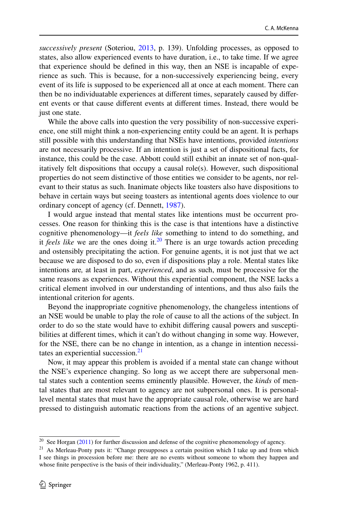*successively present* (Soteriou, [2013](#page-21-14), p. 139). Unfolding processes, as opposed to states, also allow experienced events to have duration, i.e., to take time. If we agree that experience should be defned in this way, then an NSE is incapable of experience as such. This is because, for a non-successively experiencing being, every event of its life is supposed to be experienced all at once at each moment. There can then be no individuatable experiences at diferent times, separately caused by diferent events or that cause diferent events at diferent times. Instead, there would be just one state.

While the above calls into question the very possibility of non-successive experience, one still might think a non-experiencing entity could be an agent. It is perhaps still possible with this understanding that NSEs have intentions, provided *intentions* are not necessarily processive. If an intention is just a set of dispositional facts, for instance, this could be the case. Abbott could still exhibit an innate set of non-qualitatively felt dispositions that occupy a causal role(s). However, such dispositional properties do not seem distinctive of those entities we consider to be agents, nor relevant to their status as such. Inanimate objects like toasters also have dispositions to behave in certain ways but seeing toasters as intentional agents does violence to our ordinary concept of agency (cf. Dennett, [1987](#page-20-30)).

I would argue instead that mental states like intentions must be occurrent processes. One reason for thinking this is the case is that intentions have a distinctive cognitive phenomenology—it *feels like* something to intend to do something, and it *feels like* we are the ones doing it.<sup>20</sup> There is an urge towards action preceding and ostensibly precipitating the action. For genuine agents, it is not just that we act because we are disposed to do so, even if dispositions play a role. Mental states like intentions are*,* at least in part, *experienced*, and as such, must be processive for the same reasons as experiences. Without this experiential component, the NSE lacks a critical element involved in our understanding of intentions, and thus also fails the intentional criterion for agents.

Beyond the inappropriate cognitive phenomenology, the changeless intentions of an NSE would be unable to play the role of cause to all the actions of the subject. In order to do so the state would have to exhibit difering causal powers and susceptibilities at diferent times, which it can't do without changing in some way. However, for the NSE, there can be no change in intention, as a change in intention necessi-tates an experiential succession.<sup>[21](#page-15-1)</sup>

Now, it may appear this problem is avoided if a mental state can change without the NSE's experience changing. So long as we accept there are subpersonal mental states such a contention seems eminently plausible. However, the *kinds* of mental states that are most relevant to agency are not subpersonal ones. It is personallevel mental states that must have the appropriate causal role, otherwise we are hard pressed to distinguish automatic reactions from the actions of an agentive subject.

<span id="page-15-0"></span><sup>&</sup>lt;sup>20</sup> See Horgan ([2011\)](#page-20-31) for further discussion and defense of the cognitive phenomenology of agency.

<span id="page-15-1"></span><sup>&</sup>lt;sup>21</sup> As Merleau-Ponty puts it: "Change presupposes a certain position which I take up and from which I see things in procession before me: there are no events without someone to whom they happen and whose fnite perspective is the basis of their individuality," (Merleau-Ponty 1962, p. 411).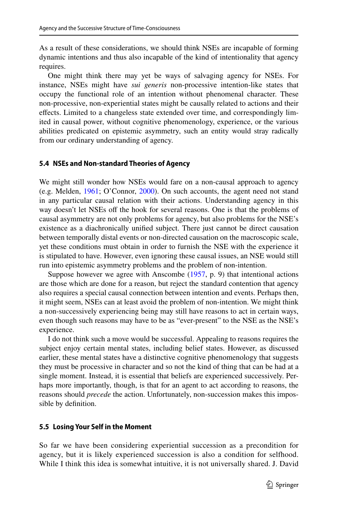As a result of these considerations, we should think NSEs are incapable of forming dynamic intentions and thus also incapable of the kind of intentionality that agency requires.

One might think there may yet be ways of salvaging agency for NSEs. For instance, NSEs might have *sui generis* non-processive intention-like states that occupy the functional role of an intention without phenomenal character. These non-processive, non-experiential states might be causally related to actions and their effects. Limited to a changeless state extended over time, and correspondingly limited in causal power, without cognitive phenomenology, experience, or the various abilities predicated on epistemic asymmetry, such an entity would stray radically from our ordinary understanding of agency.

#### **5.4 NSEs and Non‑standard Theories of Agency**

We might still wonder how NSEs would fare on a non-causal approach to agency (e.g. Melden, [1961;](#page-20-32) O'Connor, [2000\)](#page-21-15). On such accounts, the agent need not stand in any particular causal relation with their actions. Understanding agency in this way doesn't let NSEs off the hook for several reasons. One is that the problems of causal asymmetry are not only problems for agency, but also problems for the NSE's existence as a diachronically unifed subject. There just cannot be direct causation between temporally distal events or non-directed causation on the macroscopic scale, yet these conditions must obtain in order to furnish the NSE with the experience it is stipulated to have. However, even ignoring these causal issues, an NSE would still run into epistemic asymmetry problems and the problem of non-intention.

Suppose however we agree with Anscombe  $(1957, p. 9)$  $(1957, p. 9)$  that intentional actions are those which are done for a reason, but reject the standard contention that agency also requires a special causal connection between intention and events. Perhaps then, it might seem, NSEs can at least avoid the problem of non-intention. We might think a non-successively experiencing being may still have reasons to act in certain ways, even though such reasons may have to be as "ever-present" to the NSE as the NSE's experience.

I do not think such a move would be successful. Appealing to reasons requires the subject enjoy certain mental states, including belief states. However, as discussed earlier, these mental states have a distinctive cognitive phenomenology that suggests they must be processive in character and so not the kind of thing that can be had at a single moment. Instead, it is essential that beliefs are experienced successively. Perhaps more importantly, though, is that for an agent to act according to reasons, the reasons should *precede* the action. Unfortunately, non-succession makes this impossible by defnition.

#### **5.5 Losing Your Self in the Moment**

So far we have been considering experiential succession as a precondition for agency, but it is likely experienced succession is also a condition for selfhood. While I think this idea is somewhat intuitive, it is not universally shared. J. David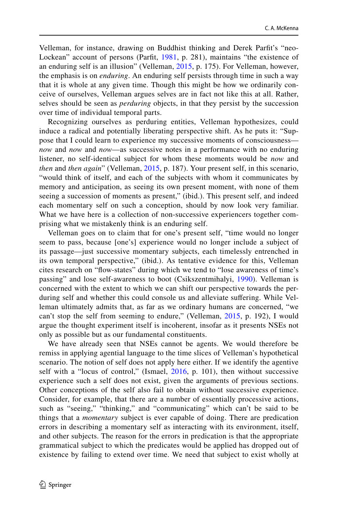Velleman, for instance, drawing on Buddhist thinking and Derek Parft's "neo-Lockean" account of persons (Parft, [1981](#page-21-16), p. 281), maintains "the existence of an enduring self is an illusion" (Velleman, [2015,](#page-21-0) p. 175). For Velleman, however, the emphasis is on *enduring*. An enduring self persists through time in such a way that it is whole at any given time. Though this might be how we ordinarily conceive of ourselves, Velleman argues selves are in fact not like this at all. Rather, selves should be seen as *perduring* objects, in that they persist by the succession over time of individual temporal parts.

Recognizing ourselves as perduring entities, Velleman hypothesizes, could induce a radical and potentially liberating perspective shift. As he puts it: "Suppose that I could learn to experience my successive moments of consciousness *now* and *now* and *now*—as successive notes in a performance with no enduring listener, no self-identical subject for whom these moments would be *now* and *then* and *then again*" (Velleman, [2015,](#page-21-0) p. 187). Your present self, in this scenario, "would think of itself, and each of the subjects with whom it communicates by memory and anticipation, as seeing its own present moment, with none of them seeing a succession of moments as present," (ibid.). This present self, and indeed each momentary self on such a conception, should by now look very familiar. What we have here is a collection of non-successive experiencers together comprising what we mistakenly think is an enduring self.

Velleman goes on to claim that for one's present self, "time would no longer seem to pass, because [one's] experience would no longer include a subject of its passage—just successive momentary subjects, each timelessly entrenched in its own temporal perspective," (ibid.). As tentative evidence for this, Velleman cites research on "fow-states" during which we tend to "lose awareness of time's passing" and lose self-awareness to boot (Csikszentmihalyi, [1990\)](#page-20-33). Velleman is concerned with the extent to which we can shift our perspective towards the perduring self and whether this could console us and alleviate sufering. While Velleman ultimately admits that, as far as we ordinary humans are concerned, "we can't stop the self from seeming to endure," (Velleman, [2015,](#page-21-0) p. 192), I would argue the thought experiment itself is incoherent, insofar as it presents NSEs not only as possible but as our fundamental constituents.

We have already seen that NSEs cannot be agents. We would therefore be remiss in applying agential language to the time slices of Velleman's hypothetical scenario. The notion of self does not apply here either. If we identify the agentive self with a "locus of control," (Ismael, [2016](#page-20-24), p. 101), then without successive experience such a self does not exist, given the arguments of previous sections. Other conceptions of the self also fail to obtain without successive experience. Consider, for example, that there are a number of essentially processive actions, such as "seeing," "thinking," and "communicating" which can't be said to be things that a *momentary* subject is ever capable of doing. There are predication errors in describing a momentary self as interacting with its environment, itself, and other subjects. The reason for the errors in predication is that the appropriate grammatical subject to which the predicates would be applied has dropped out of existence by failing to extend over time. We need that subject to exist wholly at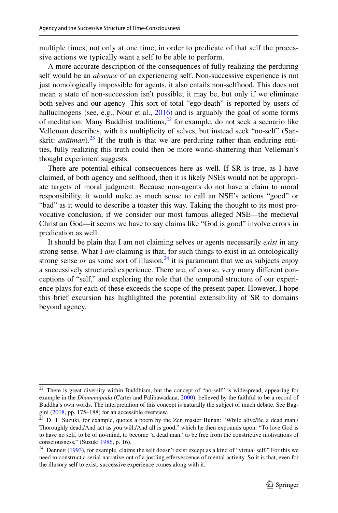multiple times, not only at one time, in order to predicate of that self the processive actions we typically want a self to be able to perform.

A more accurate description of the consequences of fully realizing the perduring self would be an *absence* of an experiencing self. Non-successive experience is not just nomologically impossible for agents, it also entails non-selfhood. This does not mean a state of non-succession isn't possible; it may be, but only if we eliminate both selves and our agency. This sort of total "ego-death" is reported by users of hallucinogens (see, e.g., Nour et al., [2016](#page-21-17)) and is arguably the goal of some forms of meditation. Many Buddhist traditions, $2^{2}$  for example, do not seek a scenario like Velleman describes, with its multiplicity of selves, but instead seek "no-self" (Sanskrit: *anātman*).<sup>23</sup> If the truth is that we are perduring rather than enduring entities, fully realizing this truth could then be more world-shattering than Velleman's thought experiment suggests.

There are potential ethical consequences here as well. If SR is true, as I have claimed, of both agency and selfhood, then it is likely NSEs would not be appropriate targets of moral judgment. Because non-agents do not have a claim to moral responsibility, it would make as much sense to call an NSE's actions "good" or "bad" as it would to describe a toaster this way. Taking the thought to its most provocative conclusion, if we consider our most famous alleged NSE—the medieval Christian God—it seems we have to say claims like "God is good" involve errors in predication as well.

It should be plain that I am not claiming selves or agents necessarily *exist* in any strong sense. What I *am* claiming is that, for such things to exist in an ontologically strong sense *or* as some sort of illusion,  $^{24}$  $^{24}$  $^{24}$  it is paramount that we as subjects enjoy a successively structured experience. There are, of course, very many diferent conceptions of "self," and exploring the role that the temporal structure of our experience plays for each of these exceeds the scope of the present paper. However, I hope this brief excursion has highlighted the potential extensibility of SR to domains beyond agency.

<span id="page-18-0"></span><sup>22</sup> There is great diversity within Buddhism, but the concept of "no-self" is widespread, appearing for example in the *Dhammapada* (Carter and Palihawadana, [2000](#page-20-34)), believed by the faithful to be a record of Buddha's own words. The interpretation of this concept is naturally the subject of much debate. See Baggini [\(2018](#page-19-8), pp. 175–188) for an accessible overview.

<span id="page-18-1"></span> $23$  D. T. Suzuki, for example, quotes a poem by the Zen master Bunan: "While alive/Be a dead man,/ Thoroughly dead;/And act as you will,/And all is good," which he then expounds upon: "To love God is to have no self, to be of no-mind, to become 'a dead man,' to be free from the constrictive motivations of consciousness," (Suzuki [1986,](#page-21-18) p. 16).

<span id="page-18-2"></span><sup>&</sup>lt;sup>24</sup> Dennett ([1993\)](#page-20-28), for example, claims the self doesn't exist except as a kind of "virtual self." For this we need to construct a serial narrative out of a jostling effervescence of mental activity. So it is that, even for the illusory self to exist, successive experience comes along with it.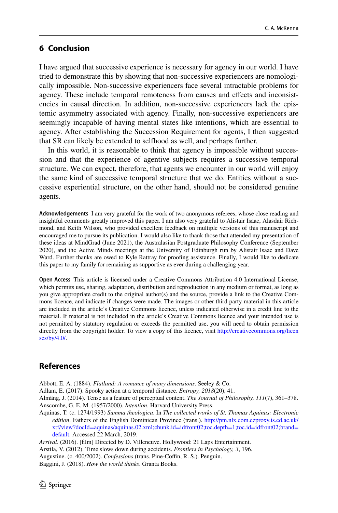# **6 Conclusion**

I have argued that successive experience is necessary for agency in our world. I have tried to demonstrate this by showing that non-successive experiencers are nomologically impossible. Non-successive experiencers face several intractable problems for agency. These include temporal remoteness from causes and efects and inconsistencies in causal direction. In addition, non-successive experiencers lack the epistemic asymmetry associated with agency. Finally, non-successive experiencers are seemingly incapable of having mental states like intentions, which are essential to agency. After establishing the Succession Requirement for agents, I then suggested that SR can likely be extended to selfhood as well, and perhaps further.

In this world, it is reasonable to think that agency is impossible without succession and that the experience of agentive subjects requires a successive temporal structure. We can expect, therefore, that agents we encounter in our world will enjoy the same kind of successive temporal structure that we do. Entities without a successive experiential structure, on the other hand, should not be considered genuine agents.

**Acknowledgements** I am very grateful for the work of two anonymous referees, whose close reading and insightful comments greatly improved this paper. I am also very grateful to Alistair Isaac, Alasdair Richmond, and Keith Wilson, who provided excellent feedback on multiple versions of this manuscript and encouraged me to pursue its publication. I would also like to thank those that attended my presentation of these ideas at MindGrad (June 2021), the Australasian Postgraduate Philosophy Conference (September 2020), and the Active Minds meetings at the University of Edinburgh run by Alistair Isaac and Dave Ward. Further thanks are owed to Kyle Rattray for proofng assistance. Finally, I would like to dedicate this paper to my family for remaining as supportive as ever during a challenging year.

**Open Access** This article is licensed under a Creative Commons Attribution 4.0 International License, which permits use, sharing, adaptation, distribution and reproduction in any medium or format, as long as you give appropriate credit to the original author(s) and the source, provide a link to the Creative Commons licence, and indicate if changes were made. The images or other third party material in this article are included in the article's Creative Commons licence, unless indicated otherwise in a credit line to the material. If material is not included in the article's Creative Commons licence and your intended use is not permitted by statutory regulation or exceeds the permitted use, you will need to obtain permission directly from the copyright holder. To view a copy of this licence, visit [http://creativecommons.org/licen](http://creativecommons.org/licenses/by/4.0/) [ses/by/4.0/](http://creativecommons.org/licenses/by/4.0/).

## **References**

<span id="page-19-4"></span>Abbott, E. A. (1884). *Flatland: A romance of many dimensions*. Seeley & Co.

<span id="page-19-7"></span>Adlam, E. (2017). Spooky action at a temporal distance. *Entropy, 2018*(20), 41.

<span id="page-19-5"></span><span id="page-19-0"></span>Almäng, J. (2014). Tense as a feature of perceptual content. *The Journal of Philosophy, 111*(7), 361–378. Anscombe, G. E. M. (1957/2000). *Intention*. Harvard University Press.

<span id="page-19-3"></span>Aquinas, T. (c. 1274/1993) *Summa theologica*. In *The collected works of St. Thomas Aquinas: Electronic edition*. Fathers of the English Dominican Province (trans.). [http://pm.nlx.com.ezproxy.is.ed.ac.uk/](http://pm.nlx.com.ezproxy.is.ed.ac.uk/xtf/view?docId=aquinas/aquinas.02.xml;chunk.id=idfront02;toc.depth=1;toc.id=idfront02;brand=default) [xtf/view?docId=aquinas/aquinas.02.xml;chunk.id=idfront02;toc.depth=1;toc.id=idfront02;brand=](http://pm.nlx.com.ezproxy.is.ed.ac.uk/xtf/view?docId=aquinas/aquinas.02.xml;chunk.id=idfront02;toc.depth=1;toc.id=idfront02;brand=default) [default](http://pm.nlx.com.ezproxy.is.ed.ac.uk/xtf/view?docId=aquinas/aquinas.02.xml;chunk.id=idfront02;toc.depth=1;toc.id=idfront02;brand=default). Accessed 22 March, 2019.

<span id="page-19-8"></span><span id="page-19-6"></span><span id="page-19-2"></span><span id="page-19-1"></span>*Arrival*. (2016). [flm] Directed by D. Villeneuve. Hollywood: 21 Laps Entertainment. Arstila, V. (2012). Time slows down during accidents. *Frontiers in Psychology, 3*, 196. Augustine. (c. 400/2002). *Confessions* (trans. Pine-Coffin, R. S.). Penguin. Baggini, J. (2018). *How the world thinks*. Granta Books.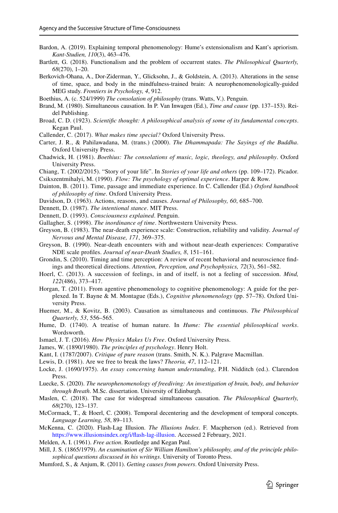- <span id="page-20-14"></span>Bardon, A. (2019). Explaining temporal phenomenology: Hume's extensionalism and Kant's apriorism. *Kant-Studien, 110*(3), 463–476.
- <span id="page-20-29"></span>Bartlett, G. (2018). Functionalism and the problem of occurrent states. *The Philosophical Quarterly, 68*(270), 1–20.
- <span id="page-20-6"></span>Berkovich-Ohana, A., Dor-Ziderman, Y., Glicksohn, J., & Goldstein, A. (2013). Alterations in the sense of time, space, and body in the mindfulness-trained brain: A neurophenomenologically-guided MEG study. *Frontiers in Psychology, 4*, 912.

<span id="page-20-15"></span>Boethius, A. (c. 524/1999) *The consolation of philosophy* (trans. Watts, V.). Penguin.

- <span id="page-20-20"></span>Brand, M. (1980). Simultaneous causation. In P. Van Inwagen (Ed.), *Time and cause* (pp. 137–153). Reidel Publishing.
- <span id="page-20-3"></span>Broad, C. D. (1923). *Scientifc thought: A philosophical analysis of some of its fundamental concepts*. Kegan Paul.

<span id="page-20-26"></span>Callender, C. (2017). *What makes time special?* Oxford University Press.

- <span id="page-20-34"></span>Carter, J. R., & Pahilawadana, M. (trans.) (2000). *The Dhammapada: The Sayings of the Buddha*. Oxford University Press.
- <span id="page-20-16"></span>Chadwick, H. (1981). *Boethius: The consolations of music, logic, theology, and philosophy*. Oxford University Press.
- <span id="page-20-17"></span>Chiang, T. (2002/2015). "Story of your life". In *Stories of your life and others* (pp. 109–172). Picador.

<span id="page-20-33"></span>Csikszentmihalyi, M. (1990). *Flow: The psychology of optimal experience*. Harper & Row.

- <span id="page-20-18"></span>Dainton, B. (2011). Time, passage and immediate experience. In C. Callender (Ed.) *Oxford handbook of philosophy of time*. Oxford University Press.
- <span id="page-20-19"></span>Davidson, D. (1963). Actions, reasons, and causes. *Journal of Philosophy, 60*, 685–700.
- <span id="page-20-30"></span>Dennett, D. (1987). *The intentional stance*. MIT Press.
- <span id="page-20-28"></span>Dennett, D. (1993). *Consciousness explained*. Penguin.
- <span id="page-20-12"></span>Gallagher, S. (1998). *The inordinance of time*. Northwestern University Press.
- <span id="page-20-10"></span>Greyson, B. (1983). The near-death experience scale: Construction, reliability and validity. *Journal of Nervous and Mental Disease, 171*, 369–375.
- <span id="page-20-9"></span>Greyson, B. (1990). Near-death encounters with and without near-death experiences: Comparative NDE scale profles. *Journal of near-Death Studies, 8*, 151–161.
- <span id="page-20-1"></span>Grondin, S. (2010). Timing and time perception: A review of recent behavioral and neuroscience fndings and theoretical directions. *Attention, Perception, and Psychophysics, 72*(3), 561–582.
- <span id="page-20-2"></span>Hoerl, C. (2013). A succession of feelings, in and of itself, is not a feeling of succession. *Mind, 122*(486), 373–417.
- <span id="page-20-31"></span>Horgan, T. (2011). From agentive phenomenology to cognitive phenomenology: A guide for the perplexed. In T. Bayne & M. Montague (Eds.), *Cognitive phenomenology* (pp. 57–78). Oxford University Press.
- <span id="page-20-21"></span>Huemer, M., & Kovitz, B. (2003). Causation as simultaneous and continuous. *The Philosophical Quarterly, 53*, 556–565.
- <span id="page-20-11"></span>Hume, D. (1740). A treatise of human nature. In *Hume: The essential philosophical works*. Wordsworth.
- <span id="page-20-24"></span>Ismael, J. T. (2016). *How Physics Makes Us Free*. Oxford University Press.
- <span id="page-20-0"></span>James, W. (1890/1980). *The principles of psychology*. Henry Holt.
- <span id="page-20-13"></span>Kant, I. (1787/2007). *Critique of pure reason* (trans. Smith, N. K.). Palgrave Macmillan.
- <span id="page-20-25"></span>Lewis, D. (1981). Are we free to break the laws? *Theoria, 47*, 112–121.
- <span id="page-20-8"></span>Locke, J. (1690/1975). *An essay concerning human understanding*, P.H. Nidditch (ed.). Clarendon Press.
- <span id="page-20-5"></span>Luecke, S. (2020). *The neurophenomenology of freediving: An investigation of brain, body, and behavior through Breath*. M.Sc. dissertation. University of Edinburgh.
- <span id="page-20-23"></span>Maslen, C. (2018). The case for widespread simultaneous causation. *The Philosophical Quarterly, 68*(270), 123–137.
- <span id="page-20-27"></span>McCormack, T., & Hoerl, C. (2008). Temporal decentering and the development of temporal concepts. *Language Learning, 58*, 89–113.
- <span id="page-20-4"></span>McKenna, C. (2020). Flash-Lag Illusion. *The Illusions Index*. F. Macpherson (ed.). Retrieved from [https://www.illusionsindex.org/i/fash-lag-illusion](https://www.illusionsindex.org/i/flash-lag-illusion). Accessed 2 February, 2021.
- <span id="page-20-32"></span>Melden, A. I. (1961). *Free action*. Routledge and Kegan Paul.
- <span id="page-20-7"></span>Mill, J. S. (1865/1979). *An examination of Sir William Hamilton's philosophy, and of the principle philosophical questions discussed in his writings*. University of Toronto Press.
- <span id="page-20-22"></span>Mumford, S., & Anjum, R. (2011). *Getting causes from powers*. Oxford University Press.